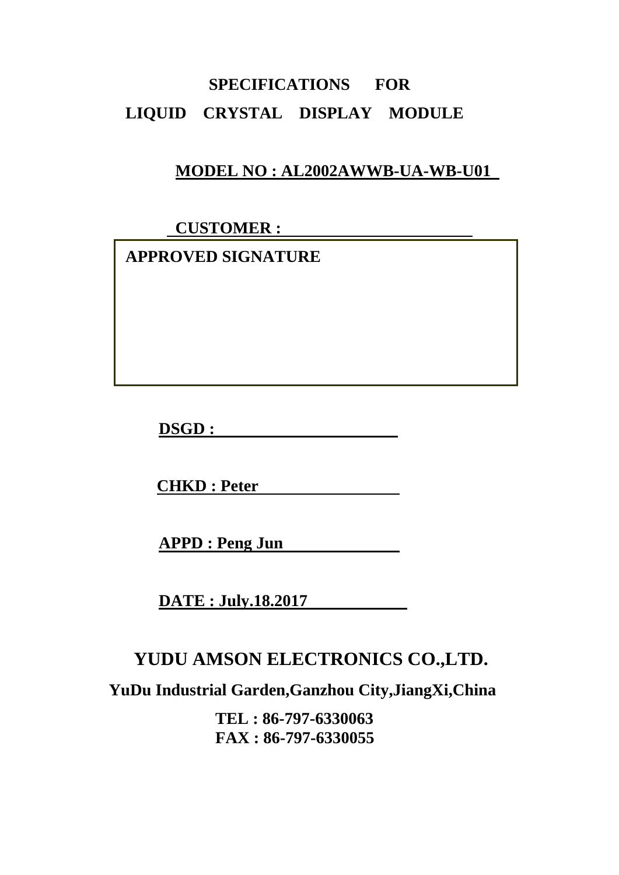# **SPECIFICATIONS FOR LIQUID CRYSTAL DISPLAY MODULE**

## **MODEL NO : AL2002AWWB-UA-WB-U01**

 **CUSTOMER :** 

 **APPROVED SIGNATURE** 

**DSGD :** 

**CHKD : Peter** 

**APPD : Peng Jun** 

**DATE : July.18.2017** 

# **YUDU AMSON ELECTRONICS CO.,LTD.**

**YuDu Industrial Garden,Ganzhou City,JiangXi,China** 

**TEL : 86-797-6330063 FAX : 86-797-6330055**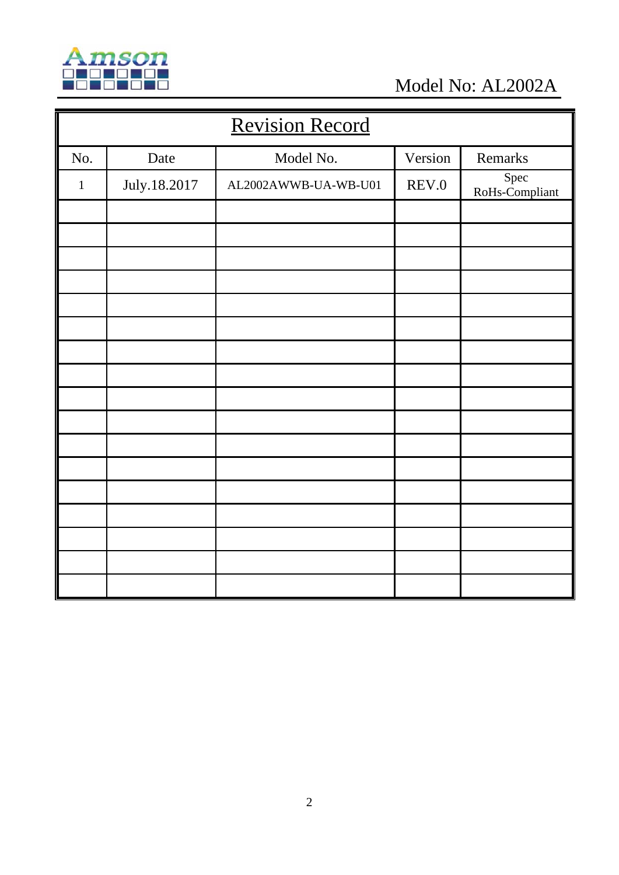

Model No: AL2002A

| <b>Revision Record</b> |              |                      |         |                        |  |  |
|------------------------|--------------|----------------------|---------|------------------------|--|--|
| No.                    | Date         | Model No.            | Version | Remarks                |  |  |
| $\mathbf{1}$           | July.18.2017 | AL2002AWWB-UA-WB-U01 | REV.0   | Spec<br>RoHs-Compliant |  |  |
|                        |              |                      |         |                        |  |  |
|                        |              |                      |         |                        |  |  |
|                        |              |                      |         |                        |  |  |
|                        |              |                      |         |                        |  |  |
|                        |              |                      |         |                        |  |  |
|                        |              |                      |         |                        |  |  |
|                        |              |                      |         |                        |  |  |
|                        |              |                      |         |                        |  |  |
|                        |              |                      |         |                        |  |  |
|                        |              |                      |         |                        |  |  |
|                        |              |                      |         |                        |  |  |
|                        |              |                      |         |                        |  |  |
|                        |              |                      |         |                        |  |  |
|                        |              |                      |         |                        |  |  |
|                        |              |                      |         |                        |  |  |
|                        |              |                      |         |                        |  |  |
|                        |              |                      |         |                        |  |  |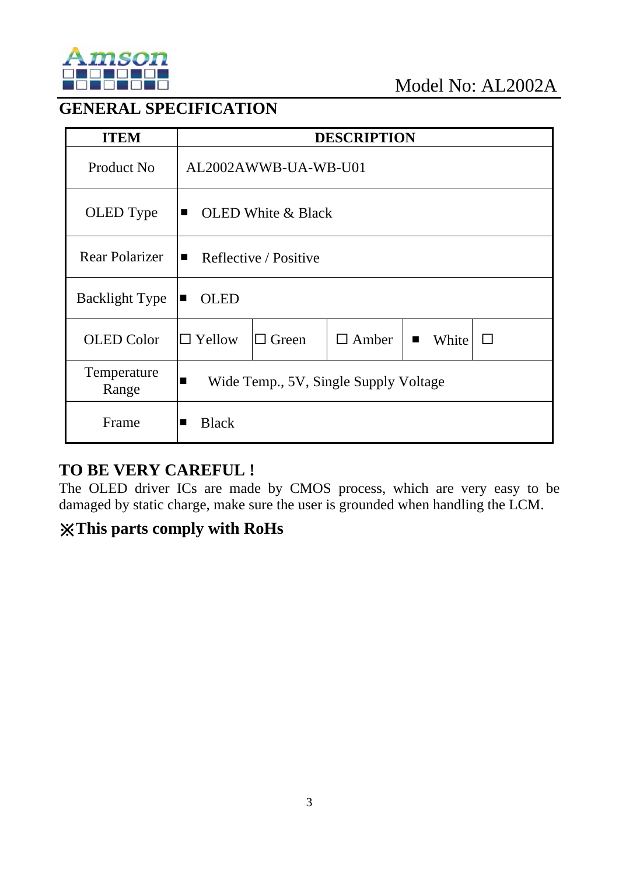

## **GENERAL SPECIFICATION**

| <b>ITEM</b>           | <b>DESCRIPTION</b>                                                                         |  |  |  |  |
|-----------------------|--------------------------------------------------------------------------------------------|--|--|--|--|
| Product No            | AL2002AWWB-UA-WB-U01                                                                       |  |  |  |  |
| OLED Type             | <b>OLED</b> White & Black<br>$\blacksquare$                                                |  |  |  |  |
| <b>Rear Polarizer</b> | Reflective / Positive<br>$\blacksquare$                                                    |  |  |  |  |
| <b>Backlight Type</b> | <b>OLED</b><br>п                                                                           |  |  |  |  |
| <b>OLED</b> Color     | $\Box$ Yellow<br>$\Box$ Green<br>$\Box$ Amber<br>White<br>$\mathbb{R}^n$<br>$\blacksquare$ |  |  |  |  |
| Temperature<br>Range  | Wide Temp., 5V, Single Supply Voltage<br>$\blacksquare$                                    |  |  |  |  |
| Frame                 | <b>Black</b>                                                                               |  |  |  |  |

## **TO BE VERY CAREFUL !**

The OLED driver ICs are made by CMOS process, which are very easy to be damaged by static charge, make sure the user is grounded when handling the LCM.

## ※**This parts comply with RoHs**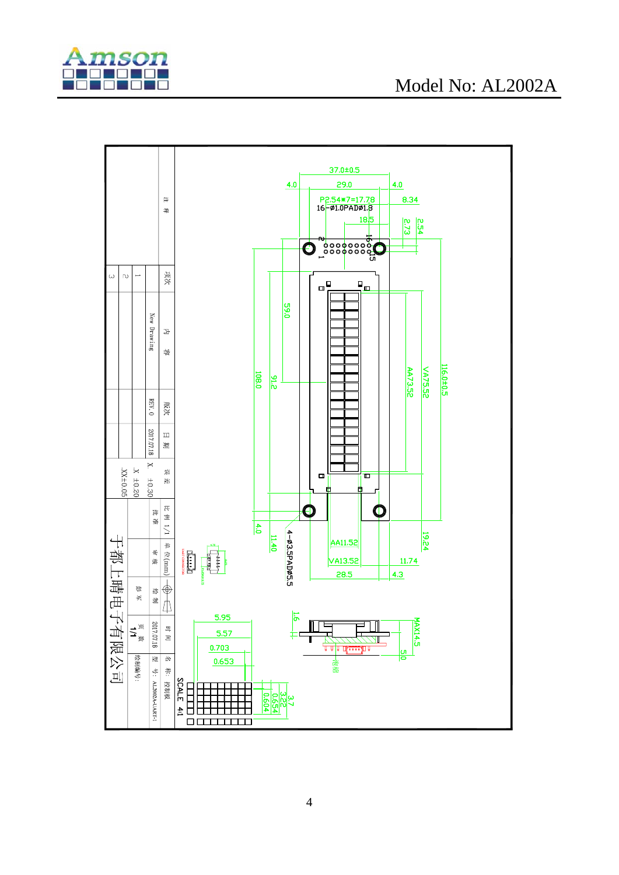

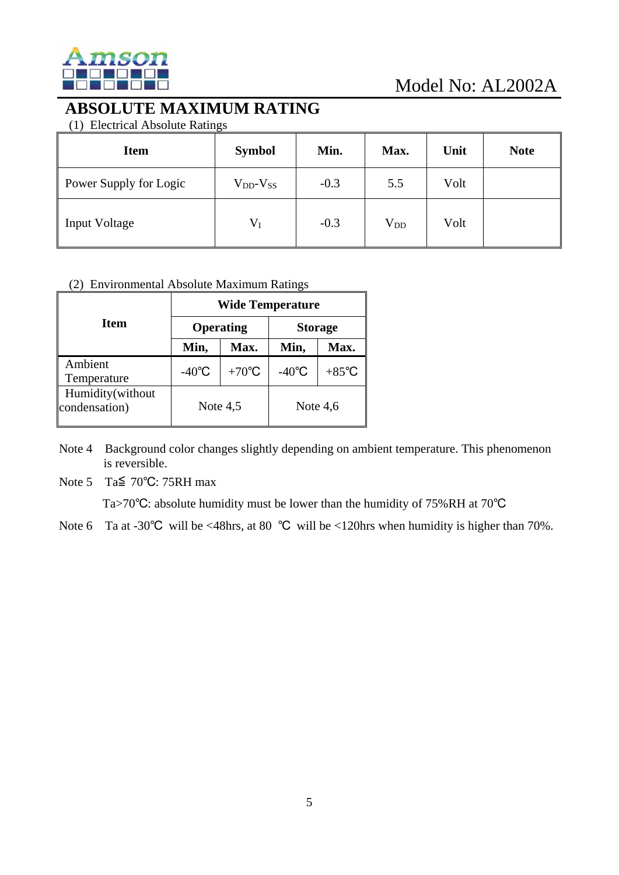

## **ABSOLUTE MAXIMUM RATING**

(1) Electrical Absolute Ratings

| <b>Item</b>            | <b>Symbol</b>       | Min.   | Max.     | Unit | <b>Note</b> |
|------------------------|---------------------|--------|----------|------|-------------|
| Power Supply for Logic | $V_{DD}$ - $V_{SS}$ | $-0.3$ | 5.5      | Volt |             |
| <b>Input Voltage</b>   | $V_I$               | $-0.3$ | $V_{DD}$ | Volt |             |

#### (2) Environmental Absolute Maximum Ratings

|                                   | <b>Wide Temperature</b> |                 |                 |                 |  |  |
|-----------------------------------|-------------------------|-----------------|-----------------|-----------------|--|--|
| <b>Item</b>                       |                         | Operating       | <b>Storage</b>  |                 |  |  |
|                                   | Min,                    | Max.            | Min,            | Max.            |  |  |
| Ambient<br>Temperature            | $-40^{\circ}$ C         | $+70^{\circ}$ C | $-40^{\circ}$ C | $+85^{\circ}$ C |  |  |
| Humidity(without<br>condensation) | Note $4,5$              |                 | Note $4,6$      |                 |  |  |

Note 4 Background color changes slightly depending on ambient temperature. This phenomenon is reversible.

Note 5 Ta≦ 70℃: 75RH max

Ta>70℃: absolute humidity must be lower than the humidity of 75%RH at 70℃

Note 6 Ta at -30°C will be <48hrs, at 80 °C will be <120hrs when humidity is higher than 70%.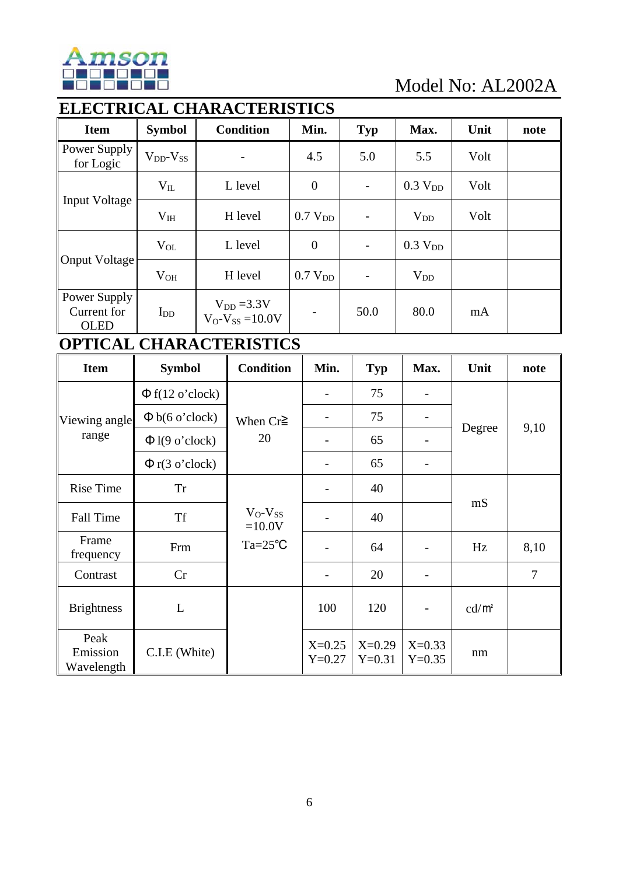

# **ELECTRICAL CHARACTERISTICS**

| <b>Item</b>                                | <b>Symbol</b>       | <b>Condition</b>                        | Min.                | <b>Typ</b>               | Max.                | Unit | note |
|--------------------------------------------|---------------------|-----------------------------------------|---------------------|--------------------------|---------------------|------|------|
| Power Supply<br>for Logic                  | $V_{DD}$ - $V_{SS}$ | -                                       | 4.5                 | 5.0                      | 5.5                 | Volt |      |
|                                            | $V_{IL}$            | L level                                 | $\boldsymbol{0}$    | $\overline{\phantom{a}}$ | 0.3 V <sub>DD</sub> | Volt |      |
| <b>Input Voltage</b>                       | $V_{IH}$            | H level                                 | 0.7 V <sub>DD</sub> | $\qquad \qquad -$        | $V_{DD}$            | Volt |      |
| Onput Voltage                              | $V_{OL}$            | L level                                 | $\theta$            |                          | 0.3 V <sub>DD</sub> |      |      |
|                                            | $V_{OH}$            | H level                                 | 0.7 V <sub>DD</sub> |                          | $V_{DD}$            |      |      |
| Power Supply<br>Current for<br><b>OLED</b> | $I_{DD}$            | $V_{DD} = 3.3V$<br>$V_O-V_{SS} = 10.0V$ | -                   | 50.0                     | 80.0                | mA   |      |

## **OPTICAL CHARACTERISTICS**

| <b>Item</b>                    | <b>Symbol</b>        | <b>Condition</b>         | Min.                 | Typ                  | Max.                     | Unit     | note           |
|--------------------------------|----------------------|--------------------------|----------------------|----------------------|--------------------------|----------|----------------|
|                                | $\Phi$ f(12 o'clock) |                          |                      | 75                   |                          |          |                |
| Viewing angle                  | $\Phi$ b(6 o'clock)  | When $Cr \geq$           |                      | 75                   |                          | Degree   |                |
| range                          | $\Phi$ l(9 o'clock)  | 20                       |                      | 65                   |                          |          | 9,10           |
|                                | $\Phi$ r(3 o'clock)  |                          |                      | 65                   |                          |          |                |
| <b>Rise Time</b>               | <b>Tr</b>            |                          |                      | 40                   |                          |          |                |
| <b>Fall Time</b>               | <b>Tf</b>            | $V_O-V_{SS}$<br>$=10.0V$ |                      | 40                   |                          | mS       |                |
| Frame<br>frequency             | Frm                  | $Ta = 25^{\circ}C$       |                      | 64                   |                          | Hz       | 8,10           |
| Contrast                       | Cr                   |                          |                      | 20                   |                          |          | $\overline{7}$ |
| <b>Brightness</b>              | L                    |                          | 100                  | 120                  | $\overline{\phantom{a}}$ | $cd/m^2$ |                |
| Peak<br>Emission<br>Wavelength | C.I.E (White)        |                          | $X=0.25$<br>$Y=0.27$ | $X=0.29$<br>$Y=0.31$ | $X=0.33$<br>$Y=0.35$     | nm       |                |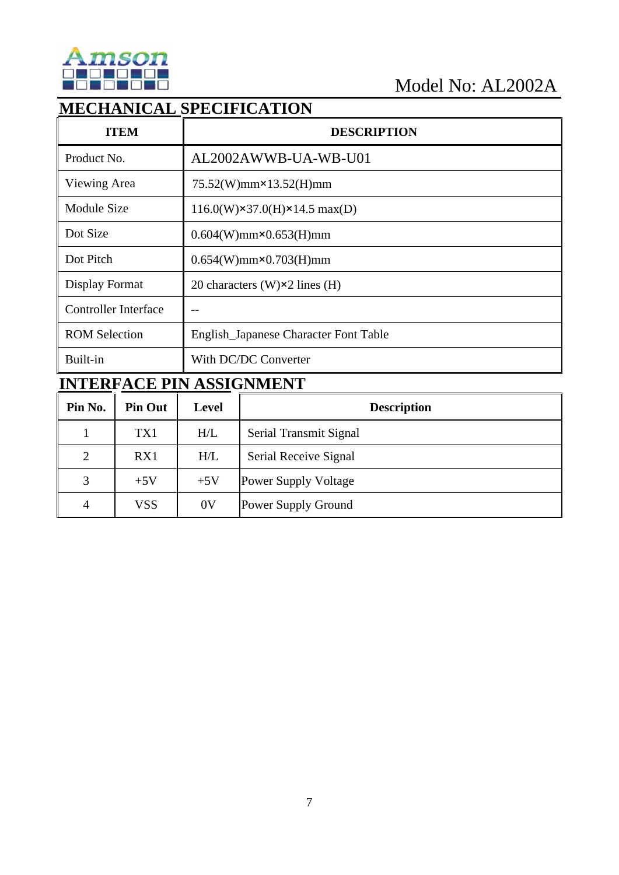

## **MECHANICAL SPECIFICATION**

| <b>ITEM</b>                 | <b>DESCRIPTION</b>                                   |
|-----------------------------|------------------------------------------------------|
| Product No.                 | AL2002AWWB-UA-WB-U01                                 |
| Viewing Area                | $75.52(W)$ mm $\times$ 13.52(H)mm                    |
| <b>Module Size</b>          | $116.0(W) \times 37.0(H) \times 14.5 \text{ max}(D)$ |
| Dot Size                    | $0.604(W)$ mm $\times 0.653(H)$ mm                   |
| Dot Pitch                   | $0.654(W)$ mm $\times$ 0.703(H)mm                    |
| Display Format              | 20 characters (W) $\times$ 2 lines (H)               |
| <b>Controller Interface</b> |                                                      |
| <b>ROM Selection</b>        | English_Japanese Character Font Table                |
| Built-in                    | With DC/DC Converter                                 |

# **INTERFACE PIN ASSIGNMENT**

| Pin No.        | <b>Pin Out</b> | Level          | <b>Description</b>          |
|----------------|----------------|----------------|-----------------------------|
|                | TX1            | H/L            | Serial Transmit Signal      |
| $\overline{2}$ | RX1            | H/L            | Serial Receive Signal       |
| 3              | $+5V$          | $+5V$          | <b>Power Supply Voltage</b> |
| 4              | VSS            | 0 <sub>V</sub> | <b>Power Supply Ground</b>  |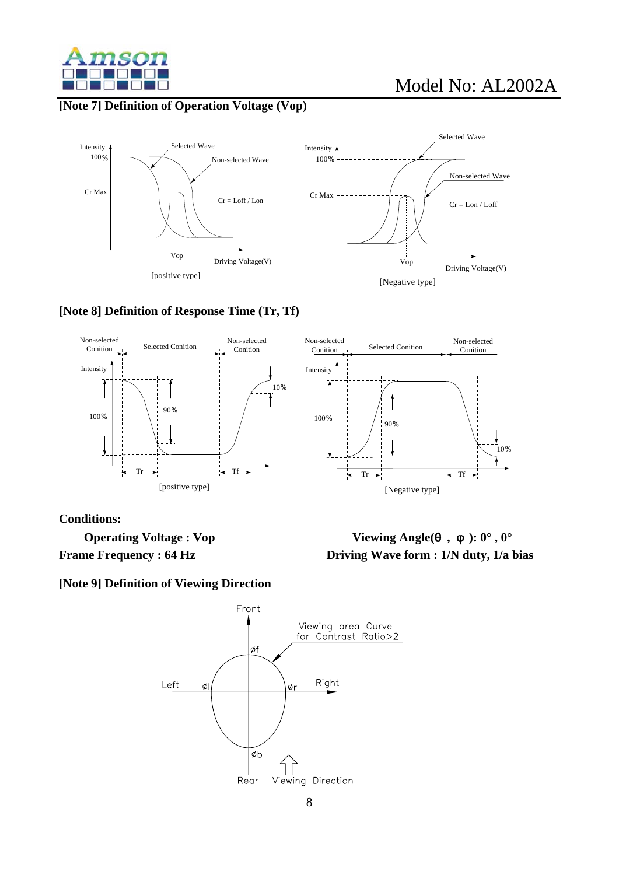

#### **[Note 7] Definition of Operation Voltage (Vop)**





#### **[Note 8] Definition of Response Time (Tr, Tf)**



**Conditions:** 

**[Note 9] Definition of Viewing Direction** 



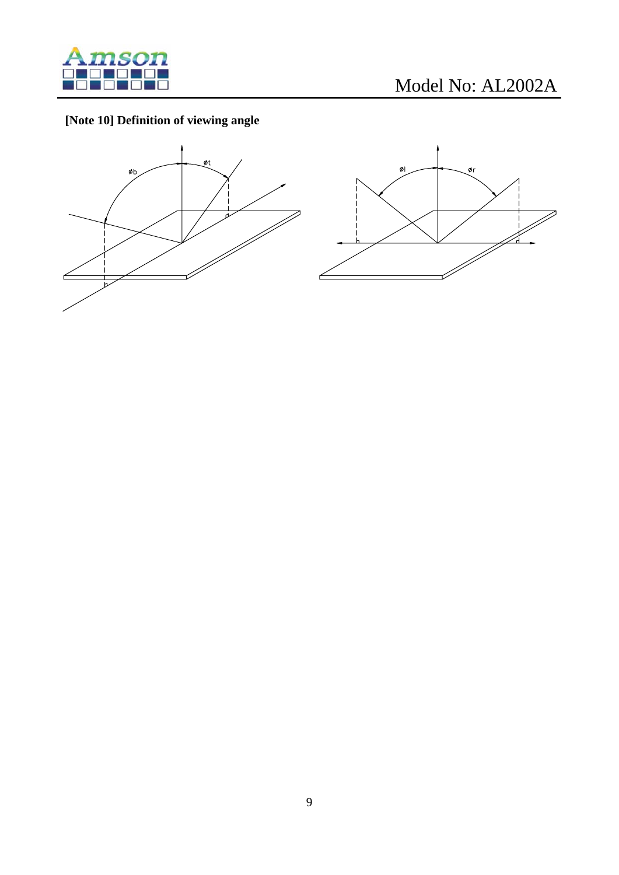

## **[Note 10] Definition of viewing angle**



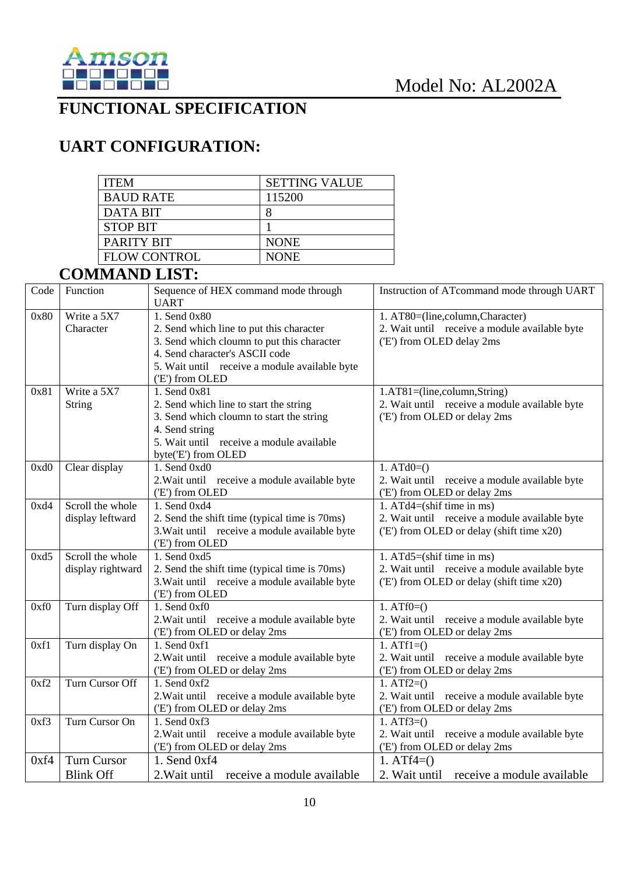

## **FUNCTIONAL SPECIFICATION**

# **UART CONFIGURATION:**

| <b>ITEM</b>         | <b>SETTING VALUE</b> |
|---------------------|----------------------|
| <b>BAUD RATE</b>    | 115200               |
| DATA BIT            |                      |
| <b>STOP BIT</b>     |                      |
| PARITY BIT          | <b>NONE</b>          |
| <b>FLOW CONTROL</b> | <b>NONE</b>          |

## **COMMAND LIST:**

| Code | Function           | Sequence of HEX command mode through<br><b>UART</b> | Instruction of ATcommand mode through UART    |
|------|--------------------|-----------------------------------------------------|-----------------------------------------------|
| 0x80 | Write a 5X7        | 1. Send 0x80                                        | 1. AT80=(line,column,Character)               |
|      | Character          | 2. Send which line to put this character            | 2. Wait until receive a module available byte |
|      |                    | 3. Send which cloumn to put this character          | ('E') from OLED delay 2ms                     |
|      |                    | 4. Send character's ASCII code                      |                                               |
|      |                    | 5. Wait until receive a module available byte       |                                               |
|      |                    | ('E') from OLED                                     |                                               |
| 0x81 | Write a 5X7        | 1. Send 0x81                                        | 1.AT81=(line,column,String)                   |
|      | <b>String</b>      | 2. Send which line to start the string              | 2. Wait until receive a module available byte |
|      |                    | 3. Send which cloumn to start the string            | ('E') from OLED or delay 2ms                  |
|      |                    | 4. Send string                                      |                                               |
|      |                    | 5. Wait until receive a module available            |                                               |
|      |                    | byte('E') from OLED                                 |                                               |
| 0xd0 | Clear display      | 1. Send 0xd0                                        | 1. $ATd0=()$                                  |
|      |                    | 2. Wait until receive a module available byte       | 2. Wait until receive a module available byte |
|      |                    | ('E') from OLED                                     | ('E') from OLED or delay 2ms                  |
| 0xd4 | Scroll the whole   | 1. Send 0xd4                                        | 1. $ATd4 = (shift time in ms)$                |
|      | display leftward   | 2. Send the shift time (typical time is 70ms)       | 2. Wait until receive a module available byte |
|      |                    | 3. Wait until receive a module available byte       | ('E') from OLED or delay (shift time x20)     |
|      |                    | ('E') from OLED                                     |                                               |
| 0xd5 | Scroll the whole   | 1. Send 0xd5                                        | 1. $ATd5 = (shift time in ms)$                |
|      | display rightward  | 2. Send the shift time (typical time is 70ms)       | 2. Wait until receive a module available byte |
|      |                    | 3. Wait until receive a module available byte       | ('E') from OLED or delay (shift time x20)     |
|      |                    | ('E') from OLED                                     |                                               |
| 0xf0 | Turn display Off   | 1. Send 0xf0                                        | $1. ATf0=()$                                  |
|      |                    | 2. Wait until receive a module available byte       | 2. Wait until receive a module available byte |
|      |                    | ('E') from OLED or delay 2ms                        | ('E') from OLED or delay 2ms                  |
| 0xf1 | Turn display On    | 1. Send 0xf1                                        | $1. ATf1=()$                                  |
|      |                    | 2. Wait until receive a module available byte       | 2. Wait until receive a module available byte |
|      |                    | ('E') from OLED or delay 2ms                        | ('E') from OLED or delay 2ms                  |
| 0xf2 | Turn Cursor Off    | 1. Send 0xf2                                        | 1. $ATf2=()$                                  |
|      |                    | 2. Wait until receive a module available byte       | 2. Wait until receive a module available byte |
|      |                    | ('E') from OLED or delay 2ms                        | ('E') from OLED or delay 2ms                  |
| 0xf3 | Turn Cursor On     | 1. Send 0xf3                                        | 1. $ATf3=()$                                  |
|      |                    | 2. Wait until receive a module available byte       | 2. Wait until receive a module available byte |
|      |                    | ('E') from OLED or delay 2ms                        | ('E') from OLED or delay 2ms                  |
| 0xf4 | <b>Turn Cursor</b> | 1. Send 0xf4                                        | 1. $ATf4=()$                                  |
|      | <b>Blink Off</b>   | 2. Wait until receive a module available            | 2. Wait until receive a module available      |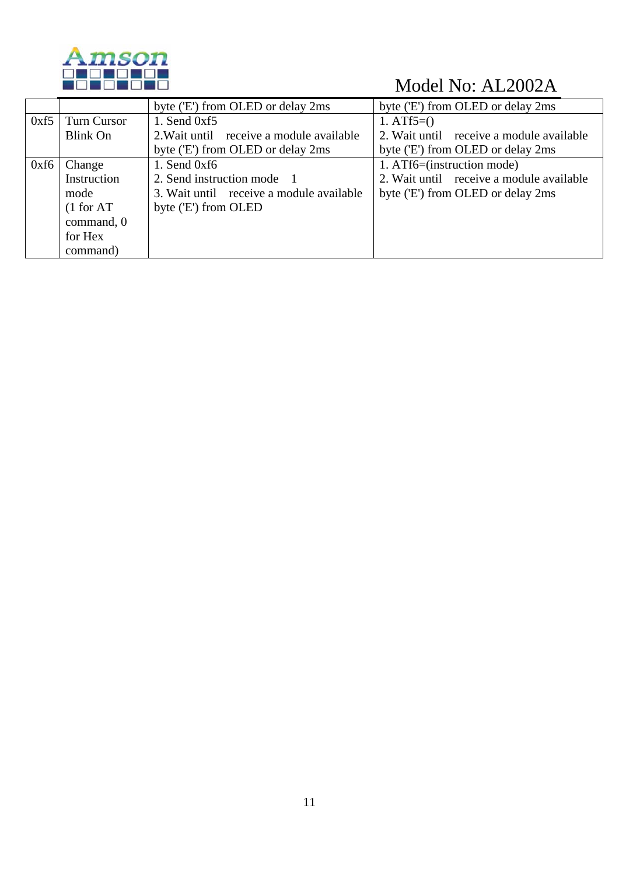

|      |                    | byte ('E') from OLED or delay 2ms        | byte ('E') from OLED or delay 2ms        |
|------|--------------------|------------------------------------------|------------------------------------------|
| 0xf5 | <b>Turn Cursor</b> | 1. Send $0xf5$                           | 1. $ATf5=()$                             |
|      | Blink On           | 2. Wait until receive a module available | 2. Wait until receive a module available |
|      |                    | byte ('E') from OLED or delay 2ms        | byte ('E') from OLED or delay 2ms        |
| 0xf6 | Change             | 1. Send $0xf6$                           | 1. ATf6=(instruction mode)               |
|      | Instruction        | 2. Send instruction mode 1               | 2. Wait until receive a module available |
|      | mode               | 3. Wait until receive a module available | byte ('E') from OLED or delay 2ms        |
|      | (1 for AT)         | byte ('E') from OLED                     |                                          |
|      | command, 0         |                                          |                                          |
|      | for Hex            |                                          |                                          |
|      | command)           |                                          |                                          |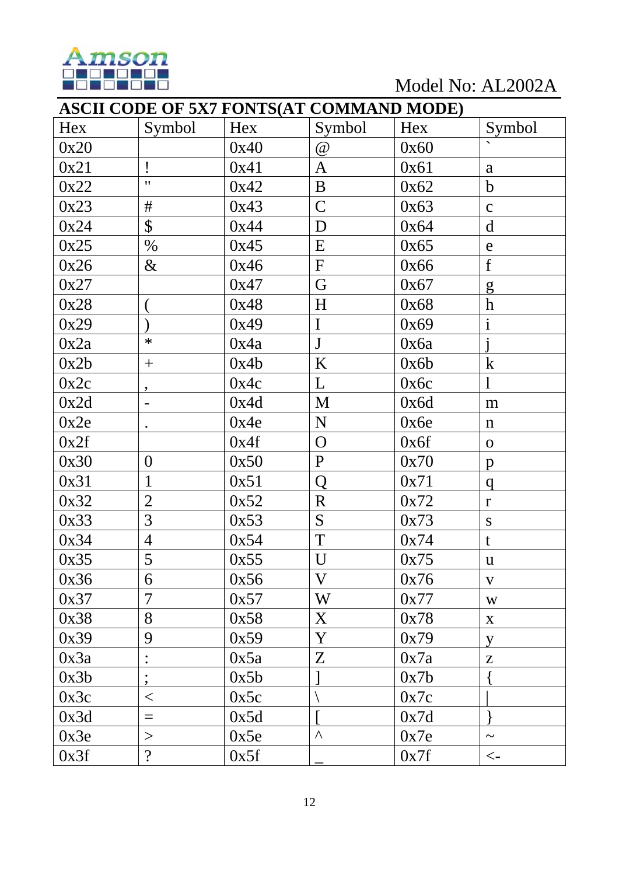

Model No: AL2002A

|      | <b>ASCII CODE OF 5X7 FONTS(AT COMMAND MODE)</b> |      |              |      |                       |  |  |  |
|------|-------------------------------------------------|------|--------------|------|-----------------------|--|--|--|
| Hex  | Symbol                                          | Hex  | Symbol       | Hex  | Symbol                |  |  |  |
| 0x20 |                                                 | 0x40 | @            | 0x60 |                       |  |  |  |
| 0x21 | Ţ                                               | 0x41 | $\mathbf{A}$ | 0x61 | a                     |  |  |  |
| 0x22 | $\pmb{\mathsf{H}}$                              | 0x42 | $\bf{B}$     | 0x62 | $\mathbf b$           |  |  |  |
| 0x23 | $\#$                                            | 0x43 | $\mathsf{C}$ | 0x63 | $\mathbf{C}$          |  |  |  |
| 0x24 | $\boldsymbol{\mathsf{S}}$                       | 0x44 | D            | 0x64 | $\mathbf d$           |  |  |  |
| 0x25 | $\%$                                            | 0x45 | E            | 0x65 | $\mathbf e$           |  |  |  |
| 0x26 | $\&$                                            | 0x46 | ${\bf F}$    | 0x66 | f                     |  |  |  |
| 0x27 |                                                 | 0x47 | G            | 0x67 | g                     |  |  |  |
| 0x28 |                                                 | 0x48 | H            | 0x68 | $\boldsymbol{h}$      |  |  |  |
| 0x29 |                                                 | 0x49 | $\mathbf I$  | 0x69 | $\mathbf{i}$          |  |  |  |
| 0x2a | $\ast$                                          | 0x4a | $\mathbf{J}$ | 0x6a |                       |  |  |  |
| 0x2b | $^{+}$                                          | 0x4b | K            | 0x6b | $\bf k$               |  |  |  |
| 0x2c | $\bullet$                                       | 0x4c | L            | 0x6c |                       |  |  |  |
| 0x2d |                                                 | 0x4d | M            | 0x6d | m                     |  |  |  |
| 0x2e | $\bullet$                                       | 0x4e | $\mathbf N$  | 0x6e | $\mathbf n$           |  |  |  |
| 0x2f |                                                 | 0x4f | $\mathbf{O}$ | 0x6f | $\mathbf{O}$          |  |  |  |
| 0x30 | $\boldsymbol{0}$                                | 0x50 | $\mathbf{P}$ | 0x70 | $\mathbf{p}$          |  |  |  |
| 0x31 | $\mathbf{1}$                                    | 0x51 | Q            | 0x71 | q                     |  |  |  |
| 0x32 | $\overline{2}$                                  | 0x52 | $\mathbf R$  | 0x72 | $\mathbf{r}$          |  |  |  |
| 0x33 | $\overline{3}$                                  | 0x53 | S            | 0x73 | ${\bf S}$             |  |  |  |
| 0x34 | $\overline{4}$                                  | 0x54 | $\mathbf T$  | 0x74 | t                     |  |  |  |
| 0x35 | 5                                               | 0x55 | U            | 0x75 | $\mathbf u$           |  |  |  |
| 0x36 | 6                                               | 0x56 | V            | 0x76 | $\mathbf{V}$          |  |  |  |
| 0x37 | $\overline{7}$                                  | 0x57 | W            | 0x77 | W                     |  |  |  |
| 0x38 | 8                                               | 0x58 | X            | 0x78 | $\boldsymbol{X}$      |  |  |  |
| 0x39 | 9                                               | 0x59 | Y            | 0x79 | y                     |  |  |  |
| 0x3a |                                                 | 0x5a | $Z_{\rm}$    | 0x7a | Z                     |  |  |  |
| 0x3b | $\overline{\phantom{a}}$                        | 0x5b |              | 0x7b |                       |  |  |  |
| 0x3c | $\lt$                                           | 0x5c |              | 0x7c |                       |  |  |  |
| 0x3d | $=$                                             | 0x5d |              | 0x7d |                       |  |  |  |
| 0x3e | >                                               | 0x5e | Λ            | 0x7e | $\tilde{\phantom{a}}$ |  |  |  |
| 0x3f | $\ddot{?}$                                      | 0x5f |              | 0x7f | $\lt$ -               |  |  |  |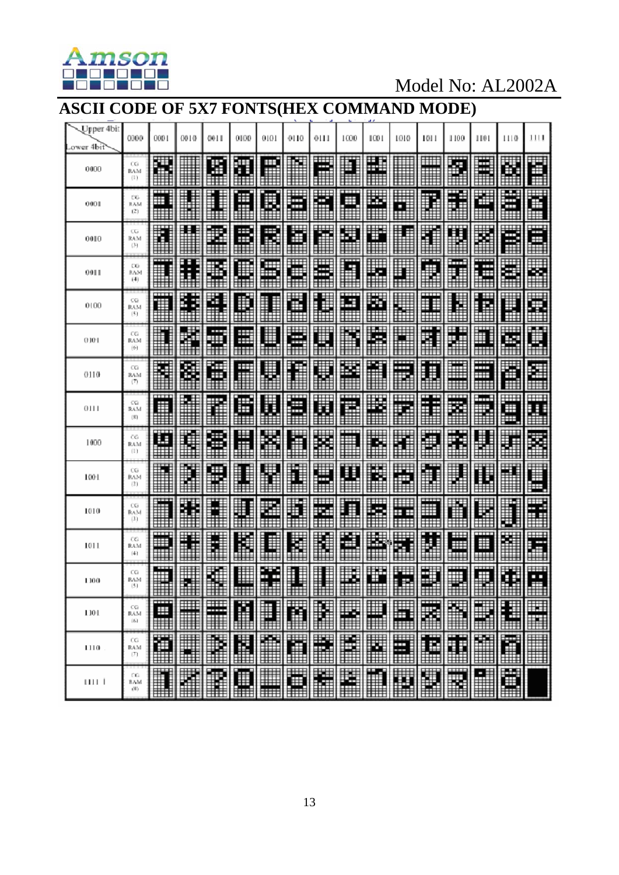

## **ASCII CODE OF 5X7 FONTS(HEX COMMAND MODE)**

| Upper 4bit<br>ower 4bit | 0000                                | 000 1          | 0010           | 0011        | 0100        | 0101            | 0110        | 0111    | 1000        | 1001     | 1010           | 101 I       | 1100        | 1101                           | 1110   | 1111         |
|-------------------------|-------------------------------------|----------------|----------------|-------------|-------------|-----------------|-------------|---------|-------------|----------|----------------|-------------|-------------|--------------------------------|--------|--------------|
| 0000                    | СG<br><b>BAM</b><br>(1)             | щΕ<br>I<br>æ   |                | Œ           | Ŧ           | Ħ<br>⊞          |             | Ħ<br>Ħ  | Đ           | ш        |                | ₩<br>瞫      | 적           | Ħ                              | S.     | İ            |
| 0001                    | CG.<br><b>RAM</b><br>(2)            | Ë<br>⋕         |                | ≣<br>Ì      | Ë           | B               | ⊞<br>₩<br>Œ | ħ       | Ħ           | 壨<br>▦   | Ħ<br>₩         | ₿           | N           | 灩<br>₩                         | Ë<br>⊞ | Ċ<br>₽       |
| 0010                    | $C_{\alpha}$<br>RAM<br>(3)          | I              | Ħ              | I           | ŧ<br>ŧ<br>▦ | B               | E           | Ĩ       | 壨           | ш<br>▦   | 畢              | Ï           | H           | ×                              | Ē      | ₩<br>▦       |
| 0011                    | СG<br>8654<br>(4)                   |                | Ε<br>ŧ<br>İ    | X           | l           | ₩               | Ë           | E       | i.          | H        | Ŧ              |             | in d<br>M   | <b>TIL</b><br>Ħ<br>Π<br>Ħ<br>H | E      | E,           |
| 0100                    | CG<br>RAM<br>(51)                   | ╥╥<br>▦        | E<br>Ę         | i<br>H      | ∎<br>₩      |                 | ë           | L       | ┅<br>Ħ<br>₩ | S,<br>▦  | 1              | m<br>I      | l<br>H      | E                              | l      | Ş            |
| 0101                    | œ<br>RAM<br>$(9 - )$                | H              | ï              | H<br>⊞<br>₩ | Ħ<br>ĦĦ     | ₩<br>₩          | ⊞<br>₩<br>m | Ĩ.      | Ě<br>₩      | ⊞<br>ñ   | $\blacksquare$ | l<br>Ē      | H           | Ħ<br>ĦĦ                        | Ш<br>Ä | Ä            |
| 0110                    | œ<br><b>RAM</b><br>$(\overline{x})$ | i              | Ø.             | Œ           | Ì           | ₩               | l           | Ä       | m           | Ě        | ---<br>Ħ<br>Ш  | F<br>l<br>₿ | ≣<br>Ш      | Ŧ<br>Ħ<br>▦                    | Ě      | i            |
| 0111                    | œ<br>RAM<br>$(\mathbb{E})$          | ш<br>⋕         |                | n           | B<br>⊞⊞     | ä               | ä           | ü       | ш<br>Ħ      | Ľ,       | ₩<br>m         | ŧ<br>j      | ш<br>Ä      | .<br>R                         | ▦<br>Ē | Ä            |
| 1000                    | CG.<br>RAM<br>(1)                   | Œ<br>冊         | i.             | €           | ⊞<br>∎      | H               | h           | ╨<br>Ě  | ▦           | K        | i              | Ī           | --<br>ľ     | ļ.                             |        | Ñ            |
| 1001                    | œ<br>RAM<br>(2)                     | E              | ₽              | 畾           | I<br>l      | H               | I<br>Ð      | H       | l           | E.       | F              | H<br>▌      | l<br>▊      | l<br>₿                         | H      | Ē            |
| 1010                    | œ<br>RAM<br>(3.)                    | ₩              | I<br>ľ         |             | ∎           | Ķ.              | D<br>Ħ      | ┉<br>P. | Ë<br>₿      | ⊞⊞<br>F. | Ш<br>$+ +$     | गग<br>₩     | ₩           | H                              | l      | H            |
| 1011                    | œ<br>RAM<br>(4)                     | ▦<br>⊞         | H              |             | l           | l               | H           | l       | ¥           | H        | ₩              | Ħ           | Ħ<br>ш<br>⊞ | m<br>Ħ<br>≣                    | Ĭ      | Ē            |
| 1100                    | СG<br>RAM<br>(5)                    | ₩<br>▦         | 翻              | H<br>▦      | ▦           | ÷<br>H<br>æ     | ₩           |         | E           | ₩<br>▦   | ₩<br>ł<br>▦    | W<br>▦      | ₩<br>▦      | ₩                              | Ŧ<br>▦ | Ш<br>∰       |
| 1101                    | CG<br>RAM<br>(8.1)                  | mm<br>₩<br>▦   | $\blacksquare$ | Ħ           | Ľ           | Ħ               | ľ           | X       | e           | E        | ä              | Ħ<br>Ħ      | ň           | H                              | £      | Ħ            |
| 1110                    | œ<br>RAM<br>(T)                     | 酒<br>師         | X              | ř           | M           | Ê               | r           | ř       | Ě           | ×        | d              | E           | I           | $\blacksquare$                 | Ē      | <b>Allia</b> |
| шт                      | CG.<br>BAM<br>(8)                   | $\blacksquare$ | i.             | R           | O           | ▦<br><b>HHH</b> | ø           | Ħ       | H           |          | W              | H           | R           | H                              | Ø      |              |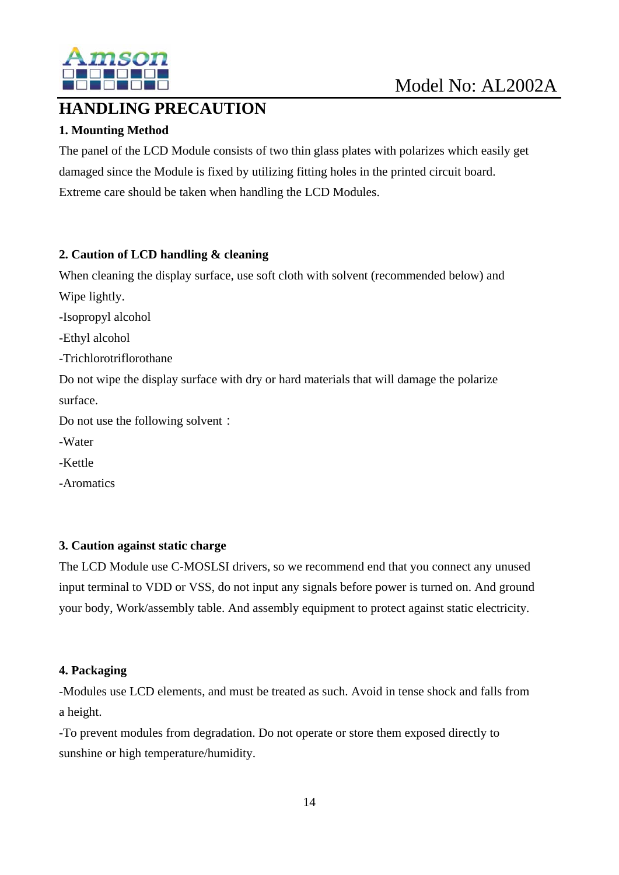

## **HANDLING PRECAUTION**

## **1. Mounting Method**

The panel of the LCD Module consists of two thin glass plates with polarizes which easily get damaged since the Module is fixed by utilizing fitting holes in the printed circuit board. Extreme care should be taken when handling the LCD Modules.

#### **2. Caution of LCD handling & cleaning**

When cleaning the display surface, use soft cloth with solvent (recommended below) and Wipe lightly.

-Isopropyl alcohol

-Ethyl alcohol

-Trichlorotriflorothane

Do not wipe the display surface with dry or hard materials that will damage the polarize surface.

Do not use the following solvent:

-Water

-Kettle

-Aromatics

#### **3. Caution against static charge**

The LCD Module use C-MOSLSI drivers, so we recommend end that you connect any unused input terminal to VDD or VSS, do not input any signals before power is turned on. And ground your body, Work/assembly table. And assembly equipment to protect against static electricity.

#### **4. Packaging**

-Modules use LCD elements, and must be treated as such. Avoid in tense shock and falls from a height.

-To prevent modules from degradation. Do not operate or store them exposed directly to sunshine or high temperature/humidity.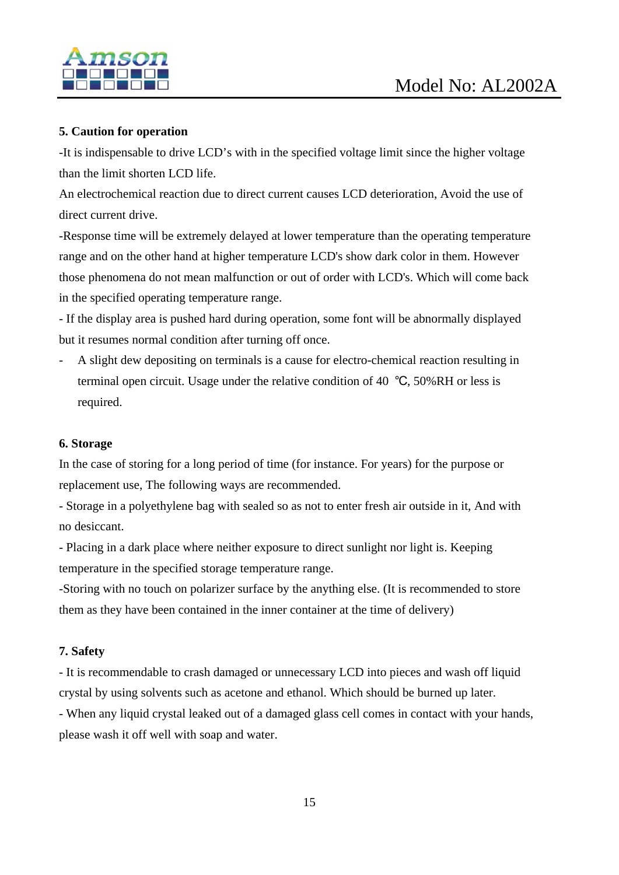

#### **5. Caution for operation**

-It is indispensable to drive LCD's with in the specified voltage limit since the higher voltage than the limit shorten LCD life.

An electrochemical reaction due to direct current causes LCD deterioration, Avoid the use of direct current drive.

-Response time will be extremely delayed at lower temperature than the operating temperature range and on the other hand at higher temperature LCD's show dark color in them. However those phenomena do not mean malfunction or out of order with LCD's. Which will come back in the specified operating temperature range.

- If the display area is pushed hard during operation, some font will be abnormally displayed but it resumes normal condition after turning off once.

- A slight dew depositing on terminals is a cause for electro-chemical reaction resulting in terminal open circuit. Usage under the relative condition of 40 ℃, 50%RH or less is required.

#### **6. Storage**

In the case of storing for a long period of time (for instance. For years) for the purpose or replacement use, The following ways are recommended.

- Storage in a polyethylene bag with sealed so as not to enter fresh air outside in it, And with no desiccant.

- Placing in a dark place where neither exposure to direct sunlight nor light is. Keeping temperature in the specified storage temperature range.

-Storing with no touch on polarizer surface by the anything else. (It is recommended to store them as they have been contained in the inner container at the time of delivery)

#### **7. Safety**

- It is recommendable to crash damaged or unnecessary LCD into pieces and wash off liquid crystal by using solvents such as acetone and ethanol. Which should be burned up later.

- When any liquid crystal leaked out of a damaged glass cell comes in contact with your hands, please wash it off well with soap and water.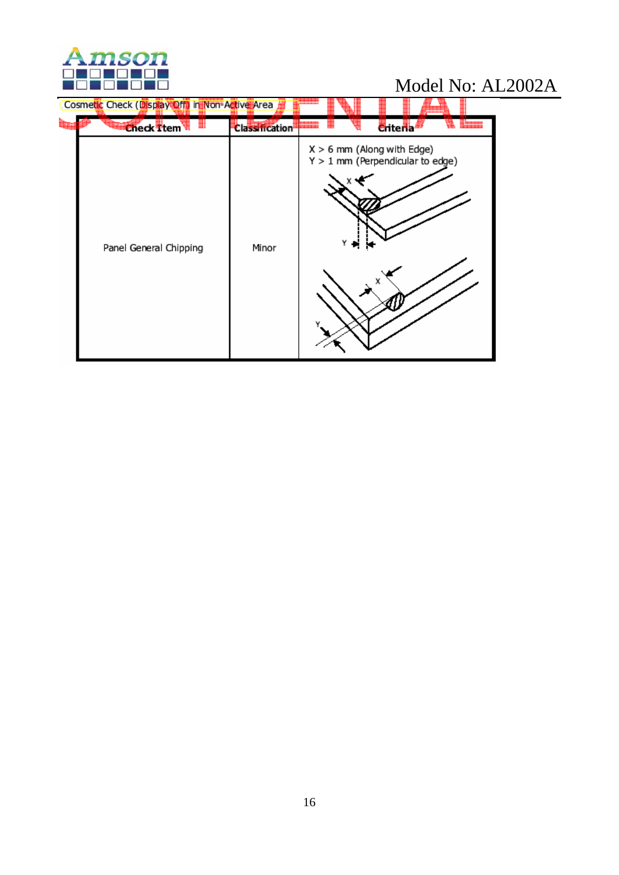

| Cosmetic Check (Display Off) in Non-Active Area<br><b>Check Ttem</b> | <b>Classification</b> | Criteria                                                           |  |
|----------------------------------------------------------------------|-----------------------|--------------------------------------------------------------------|--|
| Panel General Chipping                                               | Minor                 | $X > 6$ mm (Along with Edge)<br>$Y > 1$ mm (Perpendicular to edge) |  |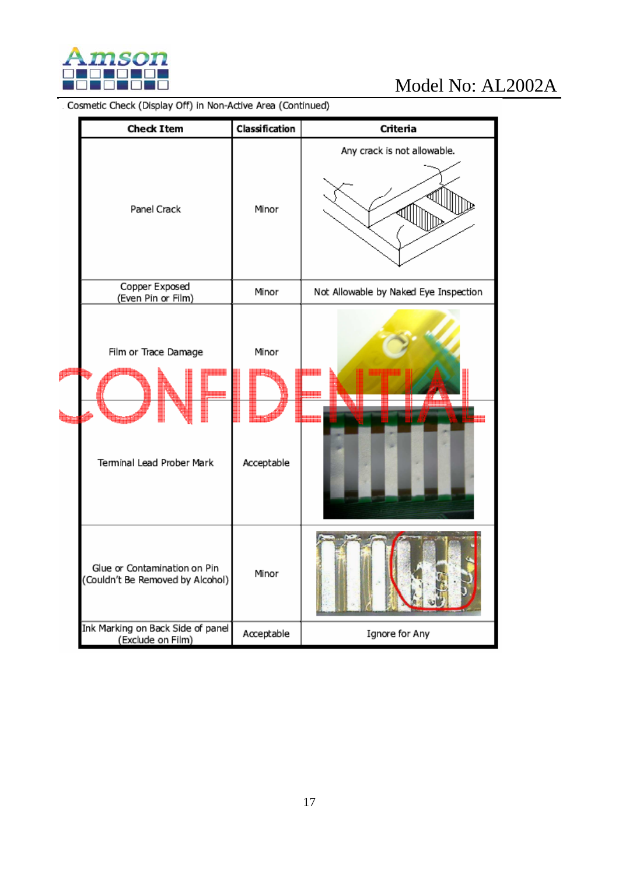

# Model No: AL2002A<br>Cosmetic Check (Display Off) in Non-Active Area (Continued)

|  | <b>Check Item</b>                                                | Classification      | Criteria                              |  |  |  |
|--|------------------------------------------------------------------|---------------------|---------------------------------------|--|--|--|
|  | Panel Crack                                                      | Minor               | Any crack is not allowable.           |  |  |  |
|  | Copper Exposed<br>(Even Pin or Film)                             | Minor               | Not Allowable by Naked Eye Inspection |  |  |  |
|  | Film or Trace Damage<br>Terminal Lead Prober Mark                | Minor<br>Acceptable |                                       |  |  |  |
|  | Glue or Contamination on Pin<br>(Couldn't Be Removed by Alcohol) | Minor               |                                       |  |  |  |
|  | Ink Marking on Back Side of panel<br>(Exclude on Film)           | Acceptable          | Ignore for Any                        |  |  |  |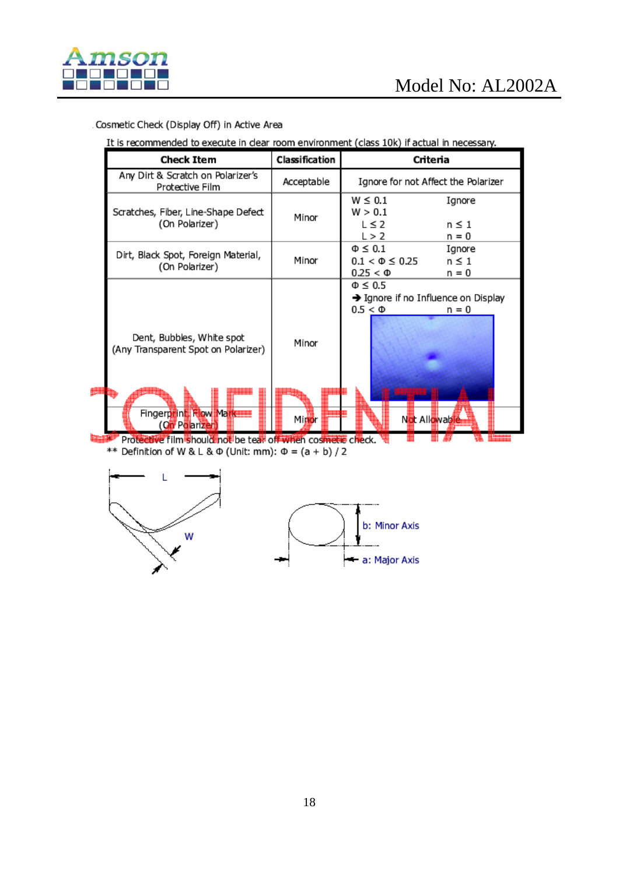

#### Cosmetic Check (Display Off) in Active Area

It is recommended to execute in clear room environment (class 10k) if actual in necessary.

| Check Item                                                                                                      | Classification | Criteria                                                                                         |  |  |  |  |
|-----------------------------------------------------------------------------------------------------------------|----------------|--------------------------------------------------------------------------------------------------|--|--|--|--|
| Any Dirt & Scratch on Polarizer's<br>Protective Film                                                            | Acceptable     | Ignore for not Affect the Polarizer                                                              |  |  |  |  |
| Scratches, Fiber, Line-Shape Defect<br>(On Polarizer)                                                           | Minor          | $W \leq 0.1$<br>Ignore<br>W > 0.1<br>$L \leq 2$<br>$n \leq 1$<br>L > 2<br>n = 0                  |  |  |  |  |
| Dirt, Black Spot, Foreign Material,<br>(On Polarizer)                                                           | Minor          | $\Phi \leq 0.1$<br>Ignore<br>$0.1 < \Phi \leq 0.25$<br>$n \leq 1$<br>$0.25 < \Phi$<br>n = 0      |  |  |  |  |
| Dent, Bubbles, White spot<br>(Any Transparent Spot on Polarizer)<br>Fingerprint, How Markette<br>(On Polarizer) | Minor<br>Minor | $\Phi \leq 0.5$<br>→ Ignore if no Influence on Display<br>$0.5 < \Phi$<br>n = 0<br>Not Allowable |  |  |  |  |

\*\* Definition of W & L &  $\Phi$  (Unit: mm):  $\Phi = (a + b)/2$